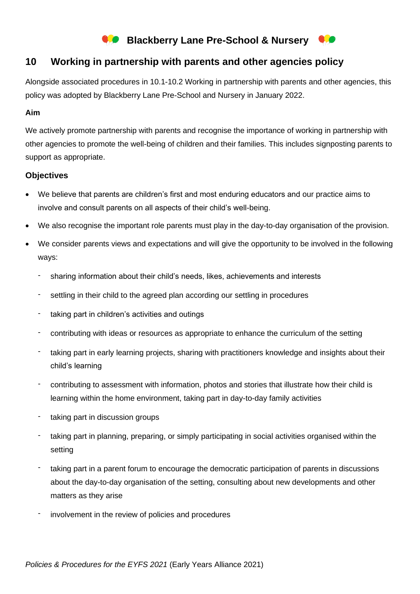# **Blackberry Lane Pre-School & Nursery**

## **10 Working in partnership with parents and other agencies policy**

Alongside associated procedures in 10.1-10.2 Working in partnership with parents and other agencies, this policy was adopted by Blackberry Lane Pre-School and Nursery in January 2022.

## **Aim**

We actively promote partnership with parents and recognise the importance of working in partnership with other agencies to promote the well-being of children and their families. This includes signposting parents to support as appropriate.

## **Objectives**

- We believe that parents are children's first and most enduring educators and our practice aims to involve and consult parents on all aspects of their child's well-being.
- We also recognise the important role parents must play in the day-to-day organisation of the provision.
- We consider parents views and expectations and will give the opportunity to be involved in the following ways:
	- sharing information about their child's needs, likes, achievements and interests
	- settling in their child to the agreed plan according our settling in procedures
	- taking part in children's activities and outings
	- contributing with ideas or resources as appropriate to enhance the curriculum of the setting
	- taking part in early learning projects, sharing with practitioners knowledge and insights about their child's learning
	- contributing to assessment with information, photos and stories that illustrate how their child is learning within the home environment, taking part in day-to-day family activities
	- taking part in discussion groups
	- taking part in planning, preparing, or simply participating in social activities organised within the setting
	- taking part in a parent forum to encourage the democratic participation of parents in discussions about the day-to-day organisation of the setting, consulting about new developments and other matters as they arise
	- involvement in the review of policies and procedures